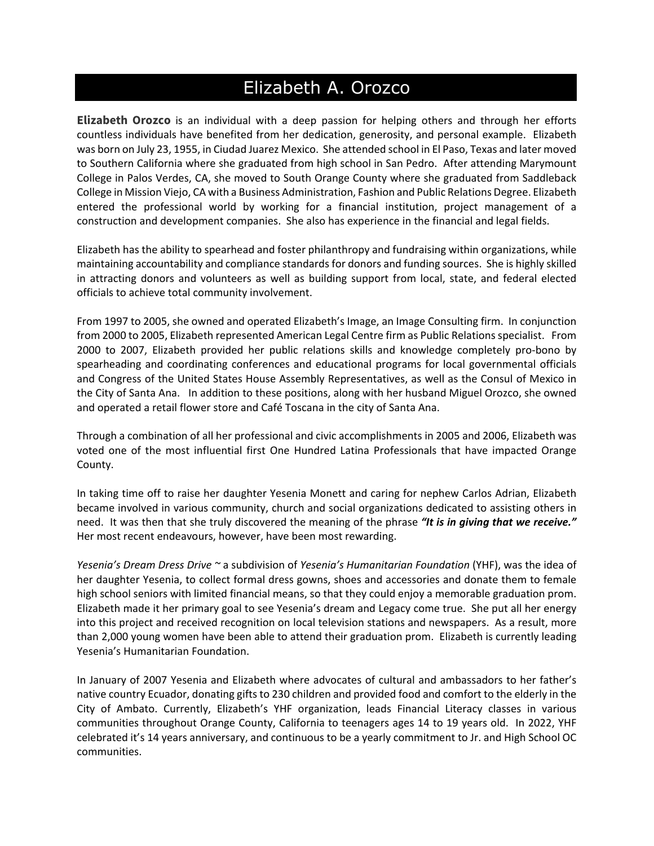## Elizabeth A. Orozco

**Elizabeth Orozco** is an individual with a deep passion for helping others and through her efforts countless individuals have benefited from her dedication, generosity, and personal example. Elizabeth was born on July 23, 1955, in Ciudad Juarez Mexico. She attended school in El Paso, Texas and later moved to Southern California where she graduated from high school in San Pedro. After attending Marymount College in Palos Verdes, CA, she moved to South Orange County where she graduated from Saddleback College in Mission Viejo, CA with a Business Administration, Fashion and Public Relations Degree. Elizabeth entered the professional world by working for a financial institution, project management of a construction and development companies. She also has experience in the financial and legal fields.

Elizabeth has the ability to spearhead and foster philanthropy and fundraising within organizations, while maintaining accountability and compliance standards for donors and funding sources. She is highly skilled in attracting donors and volunteers as well as building support from local, state, and federal elected officials to achieve total community involvement.

From 1997 to 2005, she owned and operated Elizabeth's Image, an Image Consulting firm. In conjunction from 2000 to 2005, Elizabeth represented American Legal Centre firm as Public Relations specialist. From 2000 to 2007, Elizabeth provided her public relations skills and knowledge completely pro-bono by spearheading and coordinating conferences and educational programs for local governmental officials and Congress of the United States House Assembly Representatives, as well as the Consul of Mexico in the City of Santa Ana. In addition to these positions, along with her husband Miguel Orozco, she owned and operated a retail flower store and Café Toscana in the city of Santa Ana.

Through a combination of all her professional and civic accomplishments in 2005 and 2006, Elizabeth was voted one of the most influential first One Hundred Latina Professionals that have impacted Orange County.

In taking time off to raise her daughter Yesenia Monett and caring for nephew Carlos Adrian, Elizabeth became involved in various community, church and social organizations dedicated to assisting others in need. It was then that she truly discovered the meaning of the phrase *"It is in giving that we receive."* Her most recent endeavours, however, have been most rewarding.

*Yesenia's Dream Dress Drive ~* a subdivision of *Yesenia's Humanitarian Foundation* (YHF), was the idea of her daughter Yesenia, to collect formal dress gowns, shoes and accessories and donate them to female high school seniors with limited financial means, so that they could enjoy a memorable graduation prom. Elizabeth made it her primary goal to see Yesenia's dream and Legacy come true. She put all her energy into this project and received recognition on local television stations and newspapers. As a result, more than 2,000 young women have been able to attend their graduation prom. Elizabeth is currently leading Yesenia's Humanitarian Foundation.

In January of 2007 Yesenia and Elizabeth where advocates of cultural and ambassadors to her father's native country Ecuador, donating gifts to 230 children and provided food and comfort to the elderly in the City of Ambato. Currently, Elizabeth's YHF organization, leads Financial Literacy classes in various communities throughout Orange County, California to teenagers ages 14 to 19 years old. In 2022, YHF celebrated it's 14 years anniversary, and continuous to be a yearly commitment to Jr. and High School OC communities.